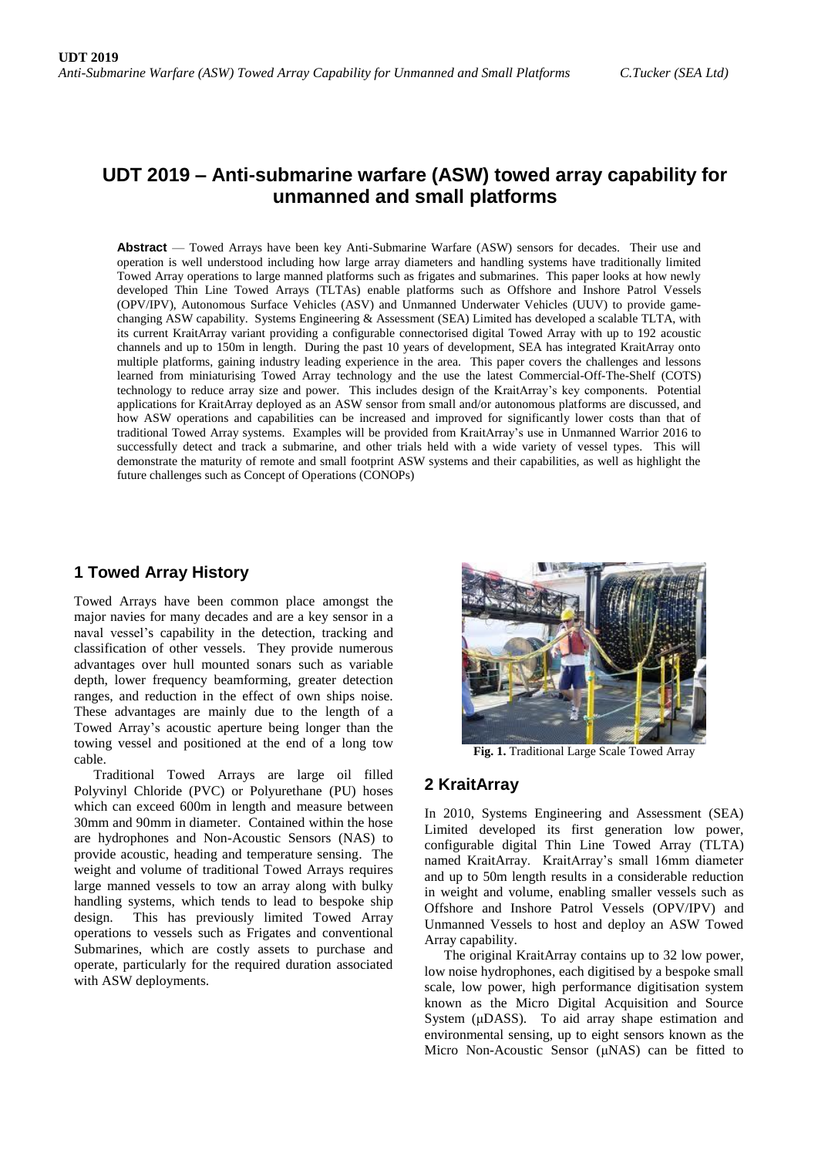# **UDT 2019 – Anti-submarine warfare (ASW) towed array capability for unmanned and small platforms**

**Abstract** — Towed Arrays have been key Anti-Submarine Warfare (ASW) sensors for decades. Their use and operation is well understood including how large array diameters and handling systems have traditionally limited Towed Array operations to large manned platforms such as frigates and submarines. This paper looks at how newly developed Thin Line Towed Arrays (TLTAs) enable platforms such as Offshore and Inshore Patrol Vessels (OPV/IPV), Autonomous Surface Vehicles (ASV) and Unmanned Underwater Vehicles (UUV) to provide gamechanging ASW capability. Systems Engineering & Assessment (SEA) Limited has developed a scalable TLTA, with its current KraitArray variant providing a configurable connectorised digital Towed Array with up to 192 acoustic channels and up to 150m in length. During the past 10 years of development, SEA has integrated KraitArray onto multiple platforms, gaining industry leading experience in the area. This paper covers the challenges and lessons learned from miniaturising Towed Array technology and the use the latest Commercial-Off-The-Shelf (COTS) technology to reduce array size and power. This includes design of the KraitArray's key components. Potential applications for KraitArray deployed as an ASW sensor from small and/or autonomous platforms are discussed, and how ASW operations and capabilities can be increased and improved for significantly lower costs than that of traditional Towed Array systems. Examples will be provided from KraitArray's use in Unmanned Warrior 2016 to successfully detect and track a submarine, and other trials held with a wide variety of vessel types. This will demonstrate the maturity of remote and small footprint ASW systems and their capabilities, as well as highlight the future challenges such as Concept of Operations (CONOPs)

## **1 Towed Array History**

Towed Arrays have been common place amongst the major navies for many decades and are a key sensor in a naval vessel's capability in the detection, tracking and classification of other vessels. They provide numerous advantages over hull mounted sonars such as variable depth, lower frequency beamforming, greater detection ranges, and reduction in the effect of own ships noise. These advantages are mainly due to the length of a Towed Array's acoustic aperture being longer than the towing vessel and positioned at the end of a long tow cable.

Traditional Towed Arrays are large oil filled Polyvinyl Chloride (PVC) or Polyurethane (PU) hoses which can exceed 600m in length and measure between 30mm and 90mm in diameter. Contained within the hose are hydrophones and Non-Acoustic Sensors (NAS) to provide acoustic, heading and temperature sensing. The weight and volume of traditional Towed Arrays requires large manned vessels to tow an array along with bulky handling systems, which tends to lead to bespoke ship design. This has previously limited Towed Array operations to vessels such as Frigates and conventional Submarines, which are costly assets to purchase and operate, particularly for the required duration associated with ASW deployments.



**Fig. 1.** Traditional Large Scale Towed Array

## **2 KraitArray**

In 2010, Systems Engineering and Assessment (SEA) Limited developed its first generation low power, configurable digital Thin Line Towed Array (TLTA) named KraitArray. KraitArray's small 16mm diameter and up to 50m length results in a considerable reduction in weight and volume, enabling smaller vessels such as Offshore and Inshore Patrol Vessels (OPV/IPV) and Unmanned Vessels to host and deploy an ASW Towed Array capability.

The original KraitArray contains up to 32 low power, low noise hydrophones, each digitised by a bespoke small scale, low power, high performance digitisation system known as the Micro Digital Acquisition and Source System (μDASS). To aid array shape estimation and environmental sensing, up to eight sensors known as the Micro Non-Acoustic Sensor (μNAS) can be fitted to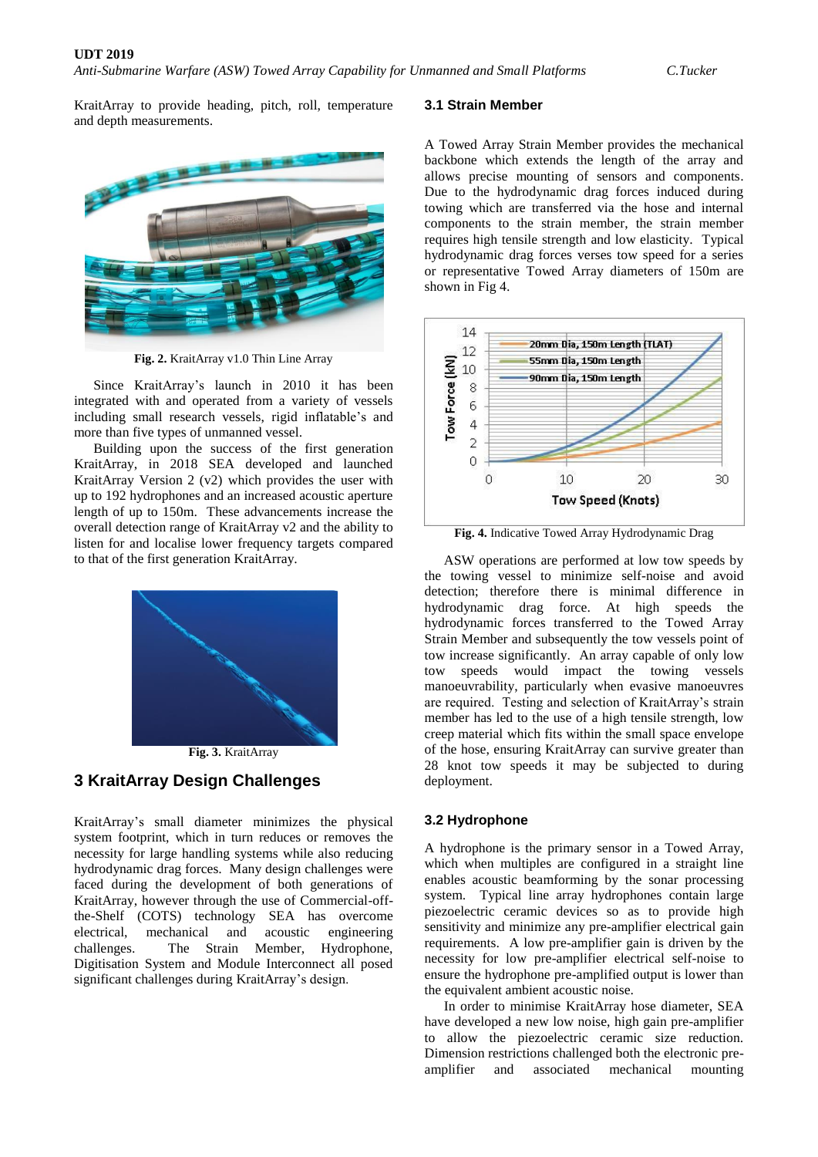KraitArray to provide heading, pitch, roll, temperature and depth measurements.



**Fig. 2.** KraitArray v1.0 Thin Line Array

Since KraitArray's launch in 2010 it has been integrated with and operated from a variety of vessels including small research vessels, rigid inflatable's and more than five types of unmanned vessel.

Building upon the success of the first generation KraitArray, in 2018 SEA developed and launched KraitArray Version 2 (v2) which provides the user with up to 192 hydrophones and an increased acoustic aperture length of up to 150m. These advancements increase the overall detection range of KraitArray v2 and the ability to listen for and localise lower frequency targets compared to that of the first generation KraitArray.





## **3 KraitArray Design Challenges**

KraitArray's small diameter minimizes the physical system footprint, which in turn reduces or removes the necessity for large handling systems while also reducing hydrodynamic drag forces. Many design challenges were faced during the development of both generations of KraitArray, however through the use of Commercial-offthe-Shelf (COTS) technology SEA has overcome electrical, mechanical and acoustic engineering challenges. The Strain Member, Hydrophone, Digitisation System and Module Interconnect all posed significant challenges during KraitArray's design.

#### **3.1 Strain Member**

A Towed Array Strain Member provides the mechanical backbone which extends the length of the array and allows precise mounting of sensors and components. Due to the hydrodynamic drag forces induced during towing which are transferred via the hose and internal components to the strain member, the strain member requires high tensile strength and low elasticity. Typical hydrodynamic drag forces verses tow speed for a series or representative Towed Array diameters of 150m are shown in Fig 4.



**Fig. 4.** Indicative Towed Array Hydrodynamic Drag

ASW operations are performed at low tow speeds by the towing vessel to minimize self-noise and avoid detection; therefore there is minimal difference in hydrodynamic drag force. At high speeds the hydrodynamic forces transferred to the Towed Array Strain Member and subsequently the tow vessels point of tow increase significantly. An array capable of only low tow speeds would impact the towing vessels manoeuvrability, particularly when evasive manoeuvres are required. Testing and selection of KraitArray's strain member has led to the use of a high tensile strength, low creep material which fits within the small space envelope of the hose, ensuring KraitArray can survive greater than 28 knot tow speeds it may be subjected to during deployment.

#### **3.2 Hydrophone**

A hydrophone is the primary sensor in a Towed Array, which when multiples are configured in a straight line enables acoustic beamforming by the sonar processing system. Typical line array hydrophones contain large piezoelectric ceramic devices so as to provide high sensitivity and minimize any pre-amplifier electrical gain requirements. A low pre-amplifier gain is driven by the necessity for low pre-amplifier electrical self-noise to ensure the hydrophone pre-amplified output is lower than the equivalent ambient acoustic noise.

In order to minimise KraitArray hose diameter, SEA have developed a new low noise, high gain pre-amplifier to allow the piezoelectric ceramic size reduction. Dimension restrictions challenged both the electronic preamplifier and associated mechanical mounting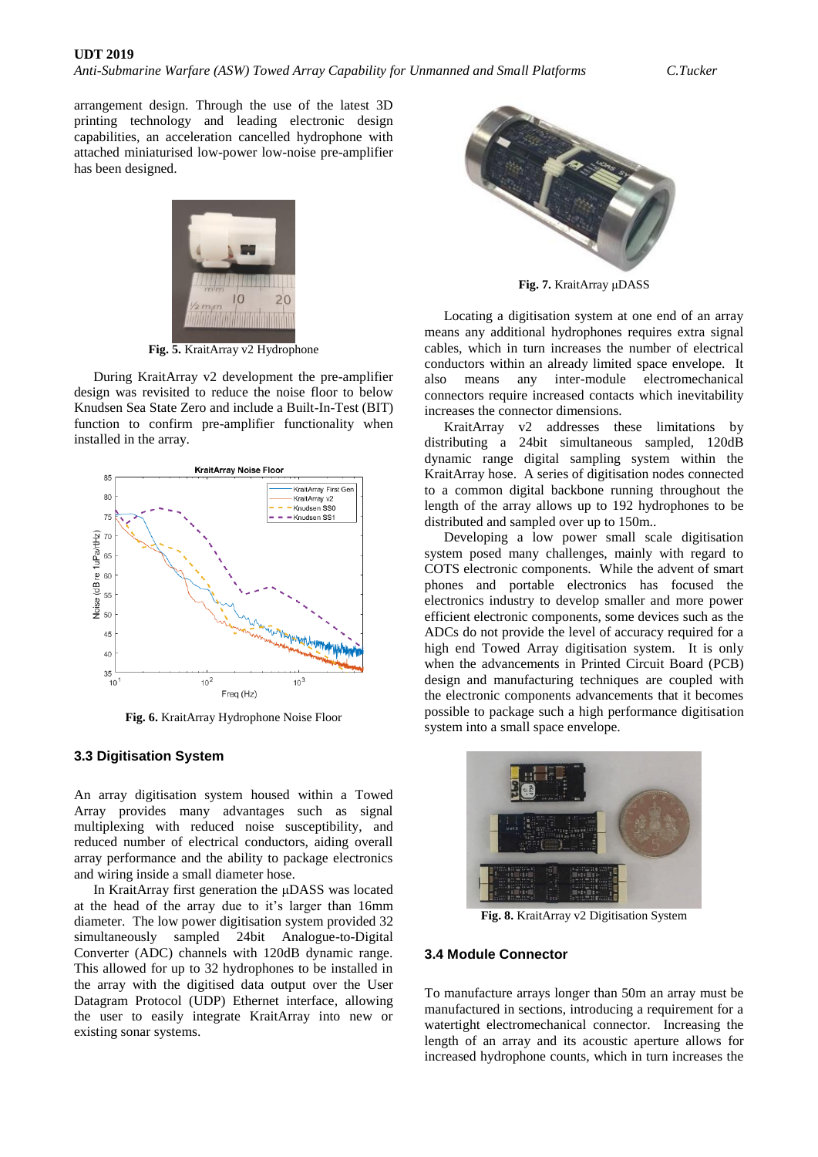arrangement design. Through the use of the latest 3D printing technology and leading electronic design capabilities, an acceleration cancelled hydrophone with attached miniaturised low-power low-noise pre-amplifier has been designed.



**Fig. 5.** KraitArray v2 Hydrophone

During KraitArray v2 development the pre-amplifier design was revisited to reduce the noise floor to below Knudsen Sea State Zero and include a Built-In-Test (BIT) function to confirm pre-amplifier functionality when installed in the array.



**Fig. 6.** KraitArray Hydrophone Noise Floor

#### **3.3 Digitisation System**

An array digitisation system housed within a Towed Array provides many advantages such as signal multiplexing with reduced noise susceptibility, and reduced number of electrical conductors, aiding overall array performance and the ability to package electronics and wiring inside a small diameter hose.

In KraitArray first generation the μDASS was located at the head of the array due to it's larger than 16mm diameter. The low power digitisation system provided 32 simultaneously sampled 24bit Analogue-to-Digital Converter (ADC) channels with 120dB dynamic range. This allowed for up to 32 hydrophones to be installed in the array with the digitised data output over the User Datagram Protocol (UDP) Ethernet interface, allowing the user to easily integrate KraitArray into new or existing sonar systems.



**Fig. 7.** KraitArray μDASS

Locating a digitisation system at one end of an array means any additional hydrophones requires extra signal cables, which in turn increases the number of electrical conductors within an already limited space envelope. It also means any inter-module electromechanical connectors require increased contacts which inevitability increases the connector dimensions.

KraitArray v2 addresses these limitations by distributing a 24bit simultaneous sampled, 120dB dynamic range digital sampling system within the KraitArray hose. A series of digitisation nodes connected to a common digital backbone running throughout the length of the array allows up to 192 hydrophones to be distributed and sampled over up to 150m..

Developing a low power small scale digitisation system posed many challenges, mainly with regard to COTS electronic components. While the advent of smart phones and portable electronics has focused the electronics industry to develop smaller and more power efficient electronic components, some devices such as the ADCs do not provide the level of accuracy required for a high end Towed Array digitisation system. It is only when the advancements in Printed Circuit Board (PCB) design and manufacturing techniques are coupled with the electronic components advancements that it becomes possible to package such a high performance digitisation system into a small space envelope.



**Fig. 8.** KraitArray v2 Digitisation System

### **3.4 Module Connector**

To manufacture arrays longer than 50m an array must be manufactured in sections, introducing a requirement for a watertight electromechanical connector. Increasing the length of an array and its acoustic aperture allows for increased hydrophone counts, which in turn increases the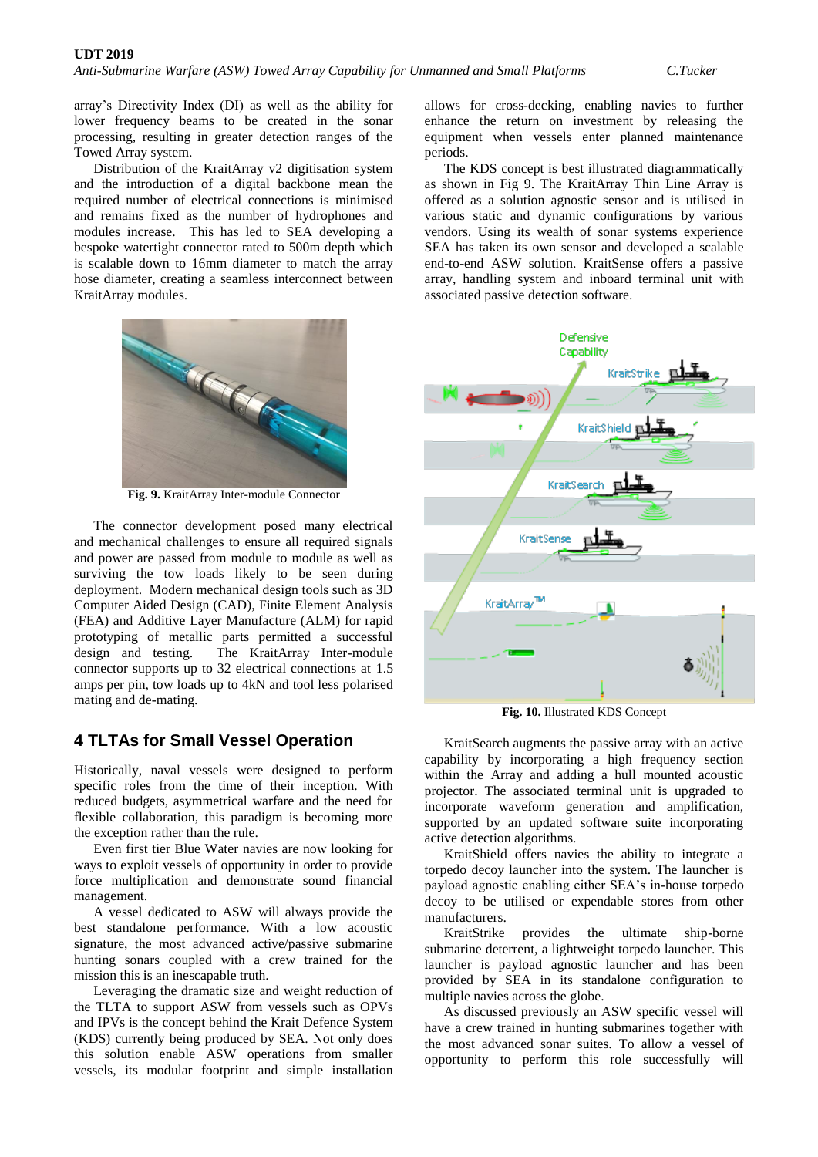*Anti-Submarine Warfare (ASW) Towed Array Capability for Unmanned and Small Platforms C.Tucker*

array's Directivity Index (DI) as well as the ability for lower frequency beams to be created in the sonar processing, resulting in greater detection ranges of the Towed Array system.

Distribution of the KraitArray v2 digitisation system and the introduction of a digital backbone mean the required number of electrical connections is minimised and remains fixed as the number of hydrophones and modules increase. This has led to SEA developing a bespoke watertight connector rated to 500m depth which is scalable down to 16mm diameter to match the array hose diameter, creating a seamless interconnect between KraitArray modules.



**Fig. 9.** KraitArray Inter-module Connector

The connector development posed many electrical and mechanical challenges to ensure all required signals and power are passed from module to module as well as surviving the tow loads likely to be seen during deployment. Modern mechanical design tools such as 3D Computer Aided Design (CAD), Finite Element Analysis (FEA) and Additive Layer Manufacture (ALM) for rapid prototyping of metallic parts permitted a successful design and testing. The KraitArray Inter-module connector supports up to 32 electrical connections at 1.5 amps per pin, tow loads up to 4kN and tool less polarised mating and de-mating.

### **4 TLTAs for Small Vessel Operation**

Historically, naval vessels were designed to perform specific roles from the time of their inception. With reduced budgets, asymmetrical warfare and the need for flexible collaboration, this paradigm is becoming more the exception rather than the rule.

Even first tier Blue Water navies are now looking for ways to exploit vessels of opportunity in order to provide force multiplication and demonstrate sound financial management.

A vessel dedicated to ASW will always provide the best standalone performance. With a low acoustic signature, the most advanced active/passive submarine hunting sonars coupled with a crew trained for the mission this is an inescapable truth.

Leveraging the dramatic size and weight reduction of the TLTA to support ASW from vessels such as OPVs and IPVs is the concept behind the Krait Defence System (KDS) currently being produced by SEA. Not only does this solution enable ASW operations from smaller vessels, its modular footprint and simple installation

allows for cross-decking, enabling navies to further enhance the return on investment by releasing the equipment when vessels enter planned maintenance periods.

The KDS concept is best illustrated diagrammatically as shown in Fig 9. The KraitArray Thin Line Array is offered as a solution agnostic sensor and is utilised in various static and dynamic configurations by various vendors. Using its wealth of sonar systems experience SEA has taken its own sensor and developed a scalable end-to-end ASW solution. KraitSense offers a passive array, handling system and inboard terminal unit with associated passive detection software.



**Fig. 10.** Illustrated KDS Concept

KraitSearch augments the passive array with an active capability by incorporating a high frequency section within the Array and adding a hull mounted acoustic projector. The associated terminal unit is upgraded to incorporate waveform generation and amplification, supported by an updated software suite incorporating active detection algorithms.

KraitShield offers navies the ability to integrate a torpedo decoy launcher into the system. The launcher is payload agnostic enabling either SEA's in-house torpedo decoy to be utilised or expendable stores from other manufacturers.

KraitStrike provides the ultimate ship-borne submarine deterrent, a lightweight torpedo launcher. This launcher is payload agnostic launcher and has been provided by SEA in its standalone configuration to multiple navies across the globe.

As discussed previously an ASW specific vessel will have a crew trained in hunting submarines together with the most advanced sonar suites. To allow a vessel of opportunity to perform this role successfully will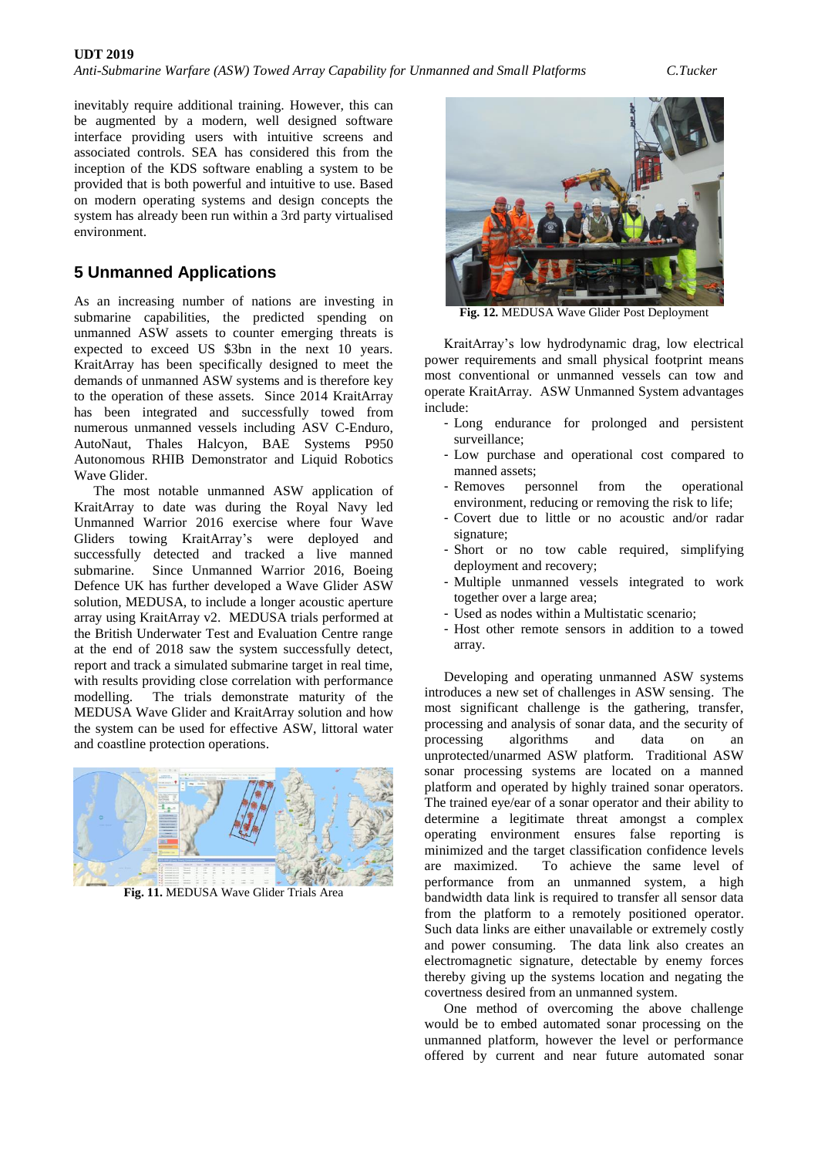inevitably require additional training. However, this can be augmented by a modern, well designed software

interface providing users with intuitive screens and associated controls. SEA has considered this from the inception of the KDS software enabling a system to be provided that is both powerful and intuitive to use. Based on modern operating systems and design concepts the system has already been run within a 3rd party virtualised environment.

## **5 Unmanned Applications**

As an increasing number of nations are investing in submarine capabilities, the predicted spending on unmanned ASW assets to counter emerging threats is expected to exceed US \$3bn in the next 10 years. KraitArray has been specifically designed to meet the demands of unmanned ASW systems and is therefore key to the operation of these assets. Since 2014 KraitArray has been integrated and successfully towed from numerous unmanned vessels including ASV C-Enduro, AutoNaut, Thales Halcyon, BAE Systems P950 Autonomous RHIB Demonstrator and Liquid Robotics Wave Glider.

The most notable unmanned ASW application of KraitArray to date was during the Royal Navy led Unmanned Warrior 2016 exercise where four Wave Gliders towing KraitArray's were deployed and successfully detected and tracked a live manned submarine. Since Unmanned Warrior 2016, Boeing Defence UK has further developed a Wave Glider ASW solution, MEDUSA, to include a longer acoustic aperture array using KraitArray v2. MEDUSA trials performed at the British Underwater Test and Evaluation Centre range at the end of 2018 saw the system successfully detect, report and track a simulated submarine target in real time, with results providing close correlation with performance modelling. The trials demonstrate maturity of the MEDUSA Wave Glider and KraitArray solution and how the system can be used for effective ASW, littoral water and coastline protection operations.



**Fig. 11.** MEDUSA Wave Glider Trials Area



**Fig. 12.** MEDUSA Wave Glider Post Deployment

KraitArray's low hydrodynamic drag, low electrical power requirements and small physical footprint means most conventional or unmanned vessels can tow and operate KraitArray. ASW Unmanned System advantages include:

- Long endurance for prolonged and persistent surveillance;
- Low purchase and operational cost compared to manned assets;
- Removes personnel from the operational environment, reducing or removing the risk to life;
- Covert due to little or no acoustic and/or radar signature;
- Short or no tow cable required, simplifying deployment and recovery;
- Multiple unmanned vessels integrated to work together over a large area;
- Used as nodes within a Multistatic scenario;
- Host other remote sensors in addition to a towed array.

Developing and operating unmanned ASW systems introduces a new set of challenges in ASW sensing. The most significant challenge is the gathering, transfer, processing and analysis of sonar data, and the security of processing algorithms and data on an unprotected/unarmed ASW platform. Traditional ASW sonar processing systems are located on a manned platform and operated by highly trained sonar operators. The trained eye/ear of a sonar operator and their ability to determine a legitimate threat amongst a complex operating environment ensures false reporting is minimized and the target classification confidence levels are maximized. To achieve the same level of performance from an unmanned system, a high bandwidth data link is required to transfer all sensor data from the platform to a remotely positioned operator. Such data links are either unavailable or extremely costly and power consuming. The data link also creates an electromagnetic signature, detectable by enemy forces thereby giving up the systems location and negating the covertness desired from an unmanned system.

One method of overcoming the above challenge would be to embed automated sonar processing on the unmanned platform, however the level or performance offered by current and near future automated sonar